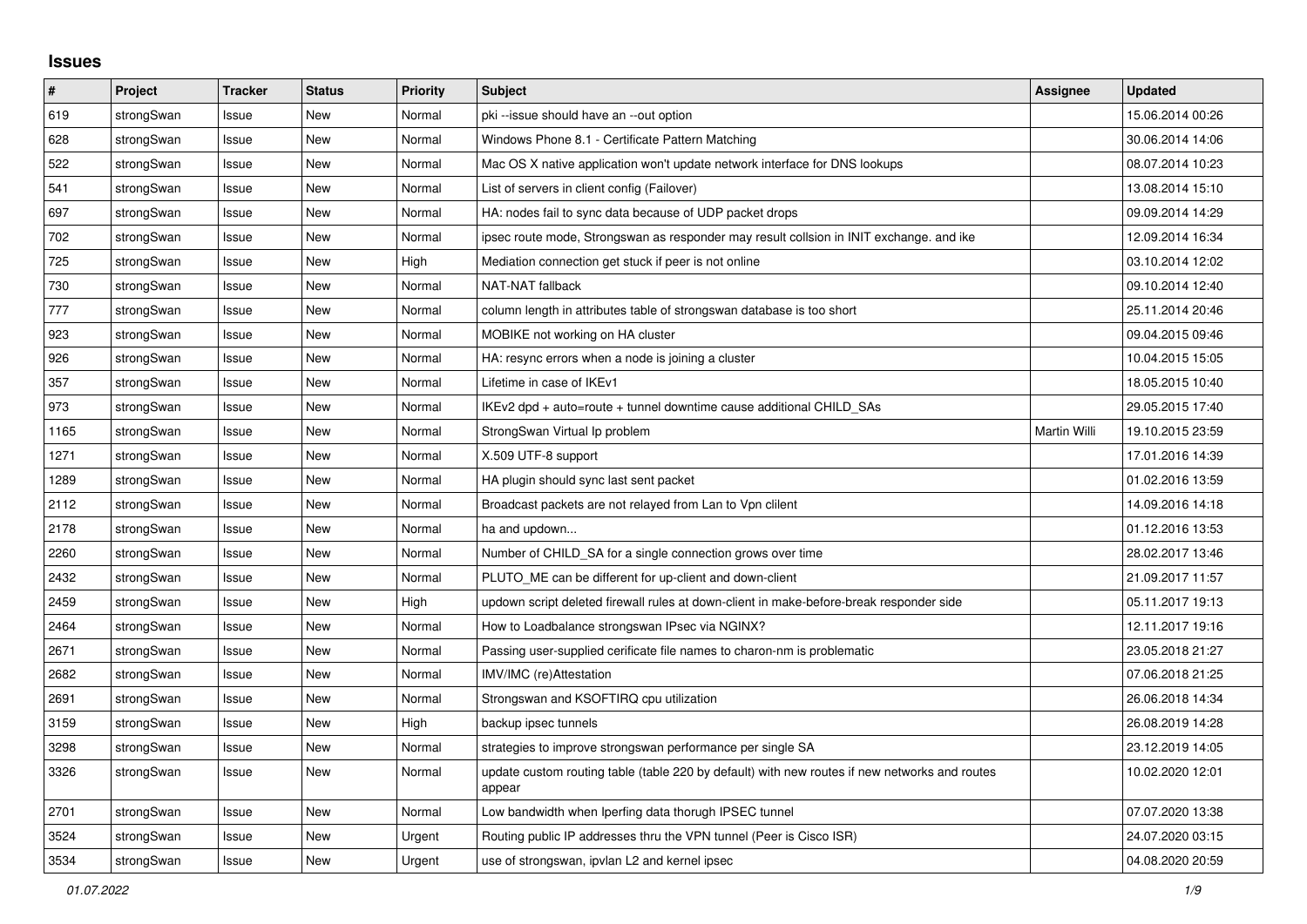## **Issues**

| #    | Project    | <b>Tracker</b> | <b>Status</b> | <b>Priority</b> | <b>Subject</b>                                                                                          | <b>Assignee</b> | <b>Updated</b>   |
|------|------------|----------------|---------------|-----------------|---------------------------------------------------------------------------------------------------------|-----------------|------------------|
| 619  | strongSwan | Issue          | <b>New</b>    | Normal          | pki --issue should have an --out option                                                                 |                 | 15.06.2014 00:26 |
| 628  | strongSwan | Issue          | <b>New</b>    | Normal          | Windows Phone 8.1 - Certificate Pattern Matching                                                        |                 | 30.06.2014 14:06 |
| 522  | strongSwan | Issue          | New           | Normal          | Mac OS X native application won't update network interface for DNS lookups                              |                 | 08.07.2014 10:23 |
| 541  | strongSwan | Issue          | <b>New</b>    | Normal          | List of servers in client config (Failover)                                                             |                 | 13.08.2014 15:10 |
| 697  | strongSwan | Issue          | <b>New</b>    | Normal          | HA: nodes fail to sync data because of UDP packet drops                                                 |                 | 09.09.2014 14:29 |
| 702  | strongSwan | Issue          | <b>New</b>    | Normal          | ipsec route mode, Strongswan as responder may result collsion in INIT exchange, and ike                 |                 | 12.09.2014 16:34 |
| 725  | strongSwan | Issue          | <b>New</b>    | High            | Mediation connection get stuck if peer is not online                                                    |                 | 03.10.2014 12:02 |
| 730  | strongSwan | Issue          | New           | Normal          | NAT-NAT fallback                                                                                        |                 | 09.10.2014 12:40 |
| 777  | strongSwan | Issue          | <b>New</b>    | Normal          | column length in attributes table of strongswan database is too short                                   |                 | 25.11.2014 20:46 |
| 923  | strongSwan | Issue          | <b>New</b>    | Normal          | MOBIKE not working on HA cluster                                                                        |                 | 09.04.2015 09:46 |
| 926  | strongSwan | Issue          | <b>New</b>    | Normal          | HA: resync errors when a node is joining a cluster                                                      |                 | 10.04.2015 15:05 |
| 357  | strongSwan | Issue          | <b>New</b>    | Normal          | Lifetime in case of IKEv1                                                                               |                 | 18.05.2015 10:40 |
| 973  | strongSwan | Issue          | New           | Normal          | IKEv2 dpd + auto=route + tunnel downtime cause additional CHILD_SAs                                     |                 | 29.05.2015 17:40 |
| 1165 | strongSwan | Issue          | New           | Normal          | StrongSwan Virtual Ip problem                                                                           | Martin Willi    | 19.10.2015 23:59 |
| 1271 | strongSwan | Issue          | <b>New</b>    | Normal          | X.509 UTF-8 support                                                                                     |                 | 17.01.2016 14:39 |
| 1289 | strongSwan | Issue          | New           | Normal          | HA plugin should sync last sent packet                                                                  |                 | 01.02.2016 13:59 |
| 2112 | strongSwan | Issue          | New           | Normal          | Broadcast packets are not relayed from Lan to Vpn clilent                                               |                 | 14.09.2016 14:18 |
| 2178 | strongSwan | Issue          | New           | Normal          | ha and updown                                                                                           |                 | 01.12.2016 13:53 |
| 2260 | strongSwan | Issue          | New           | Normal          | Number of CHILD_SA for a single connection grows over time                                              |                 | 28.02.2017 13:46 |
| 2432 | strongSwan | Issue          | New           | Normal          | PLUTO_ME can be different for up-client and down-client                                                 |                 | 21.09.2017 11:57 |
| 2459 | strongSwan | Issue          | New           | High            | updown script deleted firewall rules at down-client in make-before-break responder side                 |                 | 05.11.2017 19:13 |
| 2464 | strongSwan | Issue          | <b>New</b>    | Normal          | How to Loadbalance strongswan IPsec via NGINX?                                                          |                 | 12.11.2017 19:16 |
| 2671 | strongSwan | Issue          | New           | Normal          | Passing user-supplied cerificate file names to charon-nm is problematic                                 |                 | 23.05.2018 21:27 |
| 2682 | strongSwan | Issue          | New           | Normal          | IMV/IMC (re)Attestation                                                                                 |                 | 07.06.2018 21:25 |
| 2691 | strongSwan | Issue          | <b>New</b>    | Normal          | Strongswan and KSOFTIRQ cpu utilization                                                                 |                 | 26.06.2018 14:34 |
| 3159 | strongSwan | Issue          | New           | High            | backup ipsec tunnels                                                                                    |                 | 26.08.2019 14:28 |
| 3298 | strongSwan | Issue          | New           | Normal          | strategies to improve strongswan performance per single SA                                              |                 | 23.12.2019 14:05 |
| 3326 | strongSwan | Issue          | <b>New</b>    | Normal          | update custom routing table (table 220 by default) with new routes if new networks and routes<br>appear |                 | 10.02.2020 12:01 |
| 2701 | strongSwan | Issue          | <b>New</b>    | Normal          | Low bandwidth when Iperfing data thorugh IPSEC tunnel                                                   |                 | 07.07.2020 13:38 |
| 3524 | strongSwan | Issue          | <b>New</b>    | Urgent          | Routing public IP addresses thru the VPN tunnel (Peer is Cisco ISR)                                     |                 | 24.07.2020 03:15 |
| 3534 | strongSwan | Issue          | New           | Urgent          | use of strongswan, ipvlan L2 and kernel ipsec                                                           |                 | 04.08.2020 20:59 |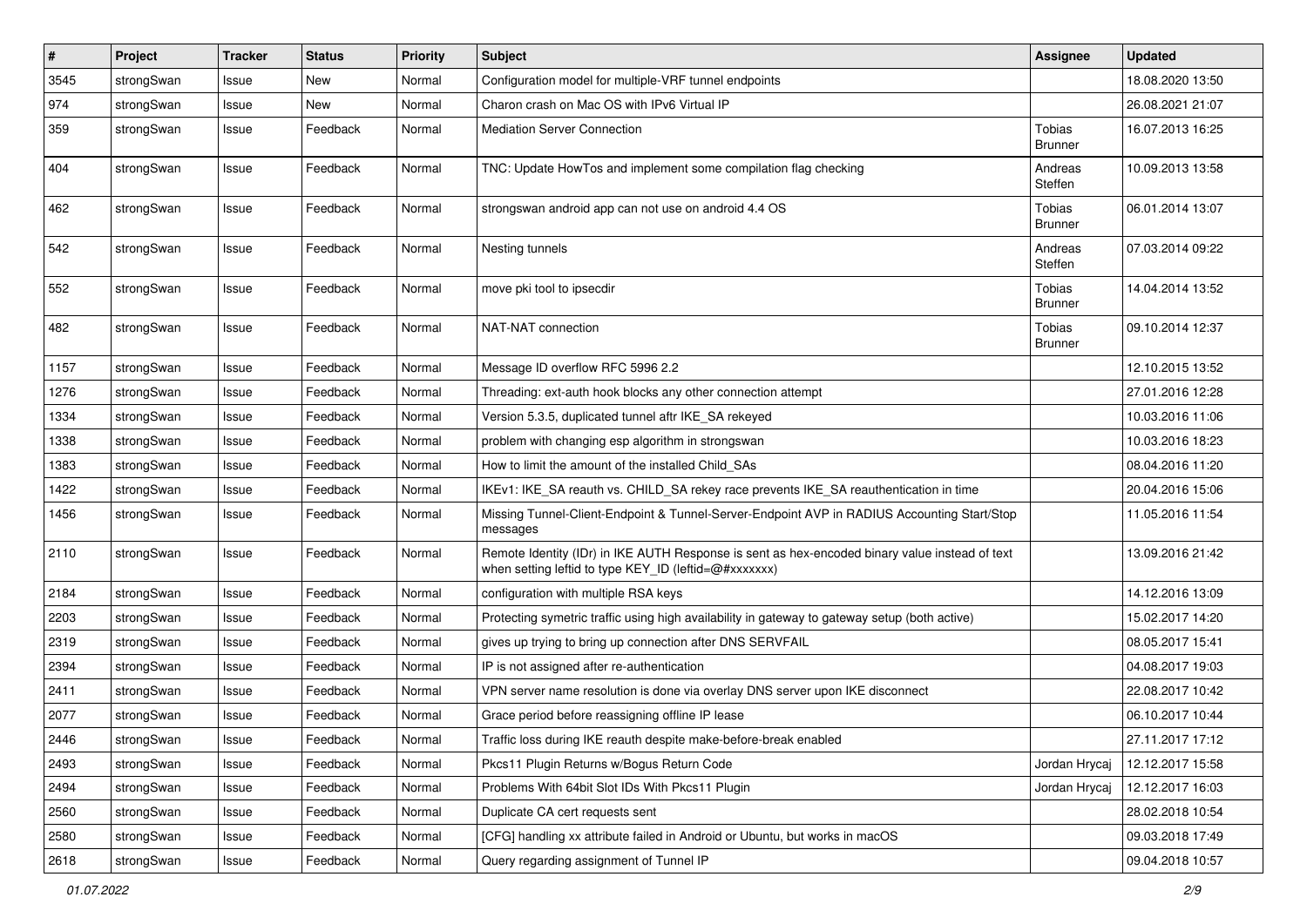| $\vert$ # | Project    | <b>Tracker</b> | <b>Status</b> | <b>Priority</b> | <b>Subject</b>                                                                                                                                          | Assignee                 | <b>Updated</b>   |
|-----------|------------|----------------|---------------|-----------------|---------------------------------------------------------------------------------------------------------------------------------------------------------|--------------------------|------------------|
| 3545      | strongSwan | Issue          | New           | Normal          | Configuration model for multiple-VRF tunnel endpoints                                                                                                   |                          | 18.08.2020 13:50 |
| 974       | strongSwan | Issue          | New           | Normal          | Charon crash on Mac OS with IPv6 Virtual IP                                                                                                             |                          | 26.08.2021 21:07 |
| 359       | strongSwan | Issue          | Feedback      | Normal          | <b>Mediation Server Connection</b>                                                                                                                      | Tobias<br>Brunner        | 16.07.2013 16:25 |
| 404       | strongSwan | Issue          | Feedback      | Normal          | TNC: Update HowTos and implement some compilation flag checking                                                                                         | Andreas<br>Steffen       | 10.09.2013 13:58 |
| 462       | strongSwan | Issue          | Feedback      | Normal          | strongswan android app can not use on android 4.4 OS                                                                                                    | Tobias<br><b>Brunner</b> | 06.01.2014 13:07 |
| 542       | strongSwan | Issue          | Feedback      | Normal          | Nesting tunnels                                                                                                                                         | Andreas<br>Steffen       | 07.03.2014 09:22 |
| 552       | strongSwan | Issue          | Feedback      | Normal          | move pki tool to ipsecdir                                                                                                                               | Tobias<br><b>Brunner</b> | 14.04.2014 13:52 |
| 482       | strongSwan | Issue          | Feedback      | Normal          | NAT-NAT connection                                                                                                                                      | Tobias<br><b>Brunner</b> | 09.10.2014 12:37 |
| 1157      | strongSwan | Issue          | Feedback      | Normal          | Message ID overflow RFC 5996 2.2                                                                                                                        |                          | 12.10.2015 13:52 |
| 1276      | strongSwan | Issue          | Feedback      | Normal          | Threading: ext-auth hook blocks any other connection attempt                                                                                            |                          | 27.01.2016 12:28 |
| 1334      | strongSwan | Issue          | Feedback      | Normal          | Version 5.3.5, duplicated tunnel aftr IKE SA rekeyed                                                                                                    |                          | 10.03.2016 11:06 |
| 1338      | strongSwan | Issue          | Feedback      | Normal          | problem with changing esp algorithm in strongswan                                                                                                       |                          | 10.03.2016 18:23 |
| 1383      | strongSwan | Issue          | Feedback      | Normal          | How to limit the amount of the installed Child_SAs                                                                                                      |                          | 08.04.2016 11:20 |
| 1422      | strongSwan | Issue          | Feedback      | Normal          | IKEv1: IKE_SA reauth vs. CHILD_SA rekey race prevents IKE_SA reauthentication in time                                                                   |                          | 20.04.2016 15:06 |
| 1456      | strongSwan | Issue          | Feedback      | Normal          | Missing Tunnel-Client-Endpoint & Tunnel-Server-Endpoint AVP in RADIUS Accounting Start/Stop<br>messages                                                 |                          | 11.05.2016 11:54 |
| 2110      | strongSwan | Issue          | Feedback      | Normal          | Remote Identity (IDr) in IKE AUTH Response is sent as hex-encoded binary value instead of text<br>when setting leftid to type KEY_ID (leftid=@#xxxxxxx) |                          | 13.09.2016 21:42 |
| 2184      | strongSwan | Issue          | Feedback      | Normal          | configuration with multiple RSA keys                                                                                                                    |                          | 14.12.2016 13:09 |
| 2203      | strongSwan | Issue          | Feedback      | Normal          | Protecting symetric traffic using high availability in gateway to gateway setup (both active)                                                           |                          | 15.02.2017 14:20 |
| 2319      | strongSwan | Issue          | Feedback      | Normal          | gives up trying to bring up connection after DNS SERVFAIL                                                                                               |                          | 08.05.2017 15:41 |
| 2394      | strongSwan | Issue          | Feedback      | Normal          | IP is not assigned after re-authentication                                                                                                              |                          | 04.08.2017 19:03 |
| 2411      | strongSwan | Issue          | Feedback      | Normal          | VPN server name resolution is done via overlay DNS server upon IKE disconnect                                                                           |                          | 22.08.2017 10:42 |
| 2077      | strongSwan | Issue          | Feedback      | Normal          | Grace period before reassigning offline IP lease                                                                                                        |                          | 06.10.2017 10:44 |
| 2446      | strongSwan | Issue          | Feedback      | Normal          | Traffic loss during IKE reauth despite make-before-break enabled                                                                                        |                          | 27.11.2017 17:12 |
| 2493      | strongSwan | Issue          | Feedback      | Normal          | Pkcs11 Plugin Returns w/Bogus Return Code                                                                                                               | Jordan Hrycaj            | 12.12.2017 15:58 |
| 2494      | strongSwan | Issue          | Feedback      | Normal          | Problems With 64bit Slot IDs With Pkcs11 Plugin                                                                                                         | Jordan Hrycaj            | 12.12.2017 16:03 |
| 2560      | strongSwan | Issue          | Feedback      | Normal          | Duplicate CA cert requests sent                                                                                                                         |                          | 28.02.2018 10:54 |
| 2580      | strongSwan | Issue          | Feedback      | Normal          | [CFG] handling xx attribute failed in Android or Ubuntu, but works in macOS                                                                             |                          | 09.03.2018 17:49 |
| 2618      | strongSwan | Issue          | Feedback      | Normal          | Query regarding assignment of Tunnel IP                                                                                                                 |                          | 09.04.2018 10:57 |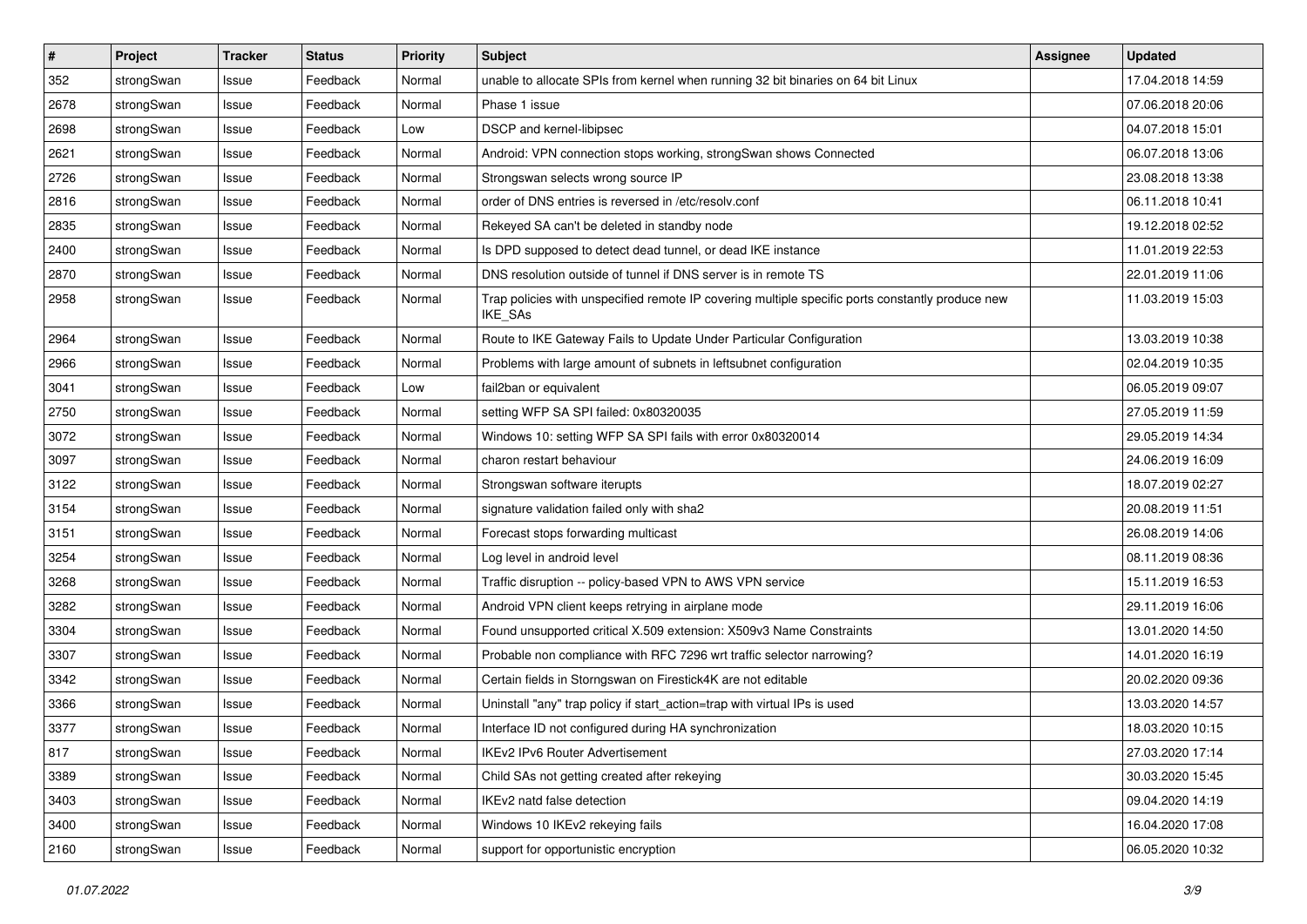| $\pmb{\#}$ | Project    | <b>Tracker</b> | <b>Status</b> | <b>Priority</b> | Subject                                                                                                            | Assignee | <b>Updated</b>   |
|------------|------------|----------------|---------------|-----------------|--------------------------------------------------------------------------------------------------------------------|----------|------------------|
| 352        | strongSwan | Issue          | Feedback      | Normal          | unable to allocate SPIs from kernel when running 32 bit binaries on 64 bit Linux                                   |          | 17.04.2018 14:59 |
| 2678       | strongSwan | Issue          | Feedback      | Normal          | Phase 1 issue                                                                                                      |          | 07.06.2018 20:06 |
| 2698       | strongSwan | Issue          | Feedback      | Low             | DSCP and kernel-libipsec                                                                                           |          | 04.07.2018 15:01 |
| 2621       | strongSwan | Issue          | Feedback      | Normal          | Android: VPN connection stops working, strongSwan shows Connected                                                  |          | 06.07.2018 13:06 |
| 2726       | strongSwan | Issue          | Feedback      | Normal          | Strongswan selects wrong source IP                                                                                 |          | 23.08.2018 13:38 |
| 2816       | strongSwan | Issue          | Feedback      | Normal          | order of DNS entries is reversed in /etc/resolv.conf                                                               |          | 06.11.2018 10:41 |
| 2835       | strongSwan | Issue          | Feedback      | Normal          | Rekeyed SA can't be deleted in standby node                                                                        |          | 19.12.2018 02:52 |
| 2400       | strongSwan | Issue          | Feedback      | Normal          | Is DPD supposed to detect dead tunnel, or dead IKE instance                                                        |          | 11.01.2019 22:53 |
| 2870       | strongSwan | Issue          | Feedback      | Normal          | DNS resolution outside of tunnel if DNS server is in remote TS                                                     |          | 22.01.2019 11:06 |
| 2958       | strongSwan | Issue          | Feedback      | Normal          | Trap policies with unspecified remote IP covering multiple specific ports constantly produce new<br><b>IKE SAs</b> |          | 11.03.2019 15:03 |
| 2964       | strongSwan | lssue          | Feedback      | Normal          | Route to IKE Gateway Fails to Update Under Particular Configuration                                                |          | 13.03.2019 10:38 |
| 2966       | strongSwan | Issue          | Feedback      | Normal          | Problems with large amount of subnets in leftsubnet configuration                                                  |          | 02.04.2019 10:35 |
| 3041       | strongSwan | Issue          | Feedback      | Low             | fail2ban or equivalent                                                                                             |          | 06.05.2019 09:07 |
| 2750       | strongSwan | Issue          | Feedback      | Normal          | setting WFP SA SPI failed: 0x80320035                                                                              |          | 27.05.2019 11:59 |
| 3072       | strongSwan | Issue          | Feedback      | Normal          | Windows 10: setting WFP SA SPI fails with error 0x80320014                                                         |          | 29.05.2019 14:34 |
| 3097       | strongSwan | Issue          | Feedback      | Normal          | charon restart behaviour                                                                                           |          | 24.06.2019 16:09 |
| 3122       | strongSwan | Issue          | Feedback      | Normal          | Strongswan software iterupts                                                                                       |          | 18.07.2019 02:27 |
| 3154       | strongSwan | Issue          | Feedback      | Normal          | signature validation failed only with sha2                                                                         |          | 20.08.2019 11:51 |
| 3151       | strongSwan | Issue          | Feedback      | Normal          | Forecast stops forwarding multicast                                                                                |          | 26.08.2019 14:06 |
| 3254       | strongSwan | Issue          | Feedback      | Normal          | Log level in android level                                                                                         |          | 08.11.2019 08:36 |
| 3268       | strongSwan | Issue          | Feedback      | Normal          | Traffic disruption -- policy-based VPN to AWS VPN service                                                          |          | 15.11.2019 16:53 |
| 3282       | strongSwan | Issue          | Feedback      | Normal          | Android VPN client keeps retrying in airplane mode                                                                 |          | 29.11.2019 16:06 |
| 3304       | strongSwan | Issue          | Feedback      | Normal          | Found unsupported critical X.509 extension: X509v3 Name Constraints                                                |          | 13.01.2020 14:50 |
| 3307       | strongSwan | Issue          | Feedback      | Normal          | Probable non compliance with RFC 7296 wrt traffic selector narrowing?                                              |          | 14.01.2020 16:19 |
| 3342       | strongSwan | Issue          | Feedback      | Normal          | Certain fields in Storngswan on Firestick4K are not editable                                                       |          | 20.02.2020 09:36 |
| 3366       | strongSwan | Issue          | Feedback      | Normal          | Uninstall "any" trap policy if start_action=trap with virtual IPs is used                                          |          | 13.03.2020 14:57 |
| 3377       | strongSwan | Issue          | Feedback      | Normal          | Interface ID not configured during HA synchronization                                                              |          | 18.03.2020 10:15 |
| 817        | strongSwan | Issue          | Feedback      | Normal          | IKEv2 IPv6 Router Advertisement                                                                                    |          | 27.03.2020 17:14 |
| 3389       | strongSwan | Issue          | Feedback      | Normal          | Child SAs not getting created after rekeying                                                                       |          | 30.03.2020 15:45 |
| 3403       | strongSwan | Issue          | Feedback      | Normal          | IKEv2 natd false detection                                                                                         |          | 09.04.2020 14:19 |
| 3400       | strongSwan | Issue          | Feedback      | Normal          | Windows 10 IKEv2 rekeying fails                                                                                    |          | 16.04.2020 17:08 |
| 2160       | strongSwan | Issue          | Feedback      | Normal          | support for opportunistic encryption                                                                               |          | 06.05.2020 10:32 |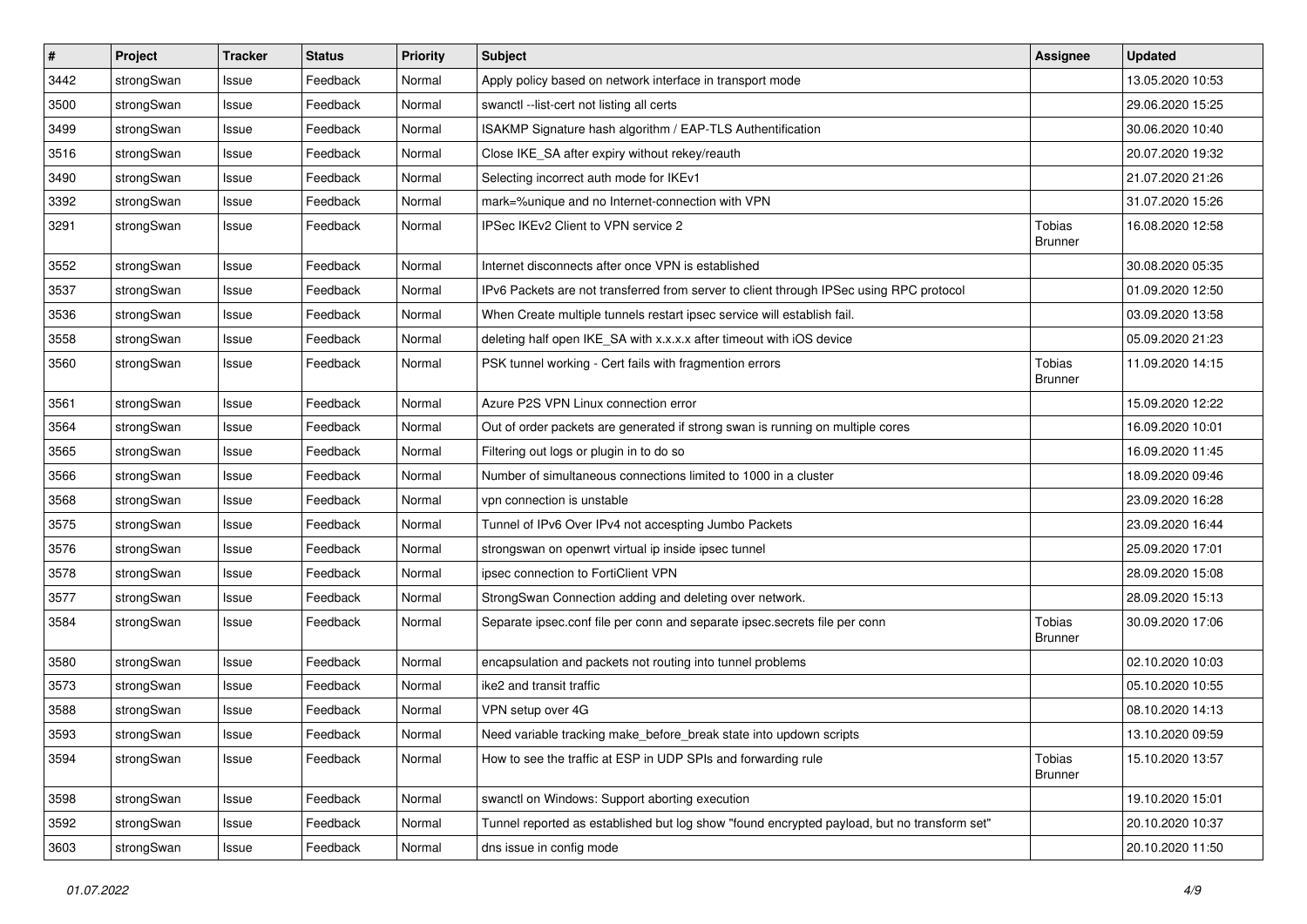| #    | Project    | <b>Tracker</b> | <b>Status</b> | <b>Priority</b> | <b>Subject</b>                                                                              | <b>Assignee</b>          | <b>Updated</b>   |
|------|------------|----------------|---------------|-----------------|---------------------------------------------------------------------------------------------|--------------------------|------------------|
| 3442 | strongSwan | Issue          | Feedback      | Normal          | Apply policy based on network interface in transport mode                                   |                          | 13.05.2020 10:53 |
| 3500 | strongSwan | Issue          | Feedback      | Normal          | swanctl --list-cert not listing all certs                                                   |                          | 29.06.2020 15:25 |
| 3499 | strongSwan | Issue          | Feedback      | Normal          | ISAKMP Signature hash algorithm / EAP-TLS Authentification                                  |                          | 30.06.2020 10:40 |
| 3516 | strongSwan | Issue          | Feedback      | Normal          | Close IKE_SA after expiry without rekey/reauth                                              |                          | 20.07.2020 19:32 |
| 3490 | strongSwan | Issue          | Feedback      | Normal          | Selecting incorrect auth mode for IKEv1                                                     |                          | 21.07.2020 21:26 |
| 3392 | strongSwan | Issue          | Feedback      | Normal          | mark=%unique and no Internet-connection with VPN                                            |                          | 31.07.2020 15:26 |
| 3291 | strongSwan | Issue          | Feedback      | Normal          | IPSec IKEv2 Client to VPN service 2                                                         | Tobias<br>Brunner        | 16.08.2020 12:58 |
| 3552 | strongSwan | Issue          | Feedback      | Normal          | Internet disconnects after once VPN is established                                          |                          | 30.08.2020 05:35 |
| 3537 | strongSwan | Issue          | Feedback      | Normal          | IPv6 Packets are not transferred from server to client through IPSec using RPC protocol     |                          | 01.09.2020 12:50 |
| 3536 | strongSwan | Issue          | Feedback      | Normal          | When Create multiple tunnels restart ipsec service will establish fail.                     |                          | 03.09.2020 13:58 |
| 3558 | strongSwan | Issue          | Feedback      | Normal          | deleting half open IKE_SA with x.x.x.x after timeout with iOS device                        |                          | 05.09.2020 21:23 |
| 3560 | strongSwan | Issue          | Feedback      | Normal          | PSK tunnel working - Cert fails with fragmention errors                                     | Tobias<br><b>Brunner</b> | 11.09.2020 14:15 |
| 3561 | strongSwan | Issue          | Feedback      | Normal          | Azure P2S VPN Linux connection error                                                        |                          | 15.09.2020 12:22 |
| 3564 | strongSwan | Issue          | Feedback      | Normal          | Out of order packets are generated if strong swan is running on multiple cores              |                          | 16.09.2020 10:01 |
| 3565 | strongSwan | Issue          | Feedback      | Normal          | Filtering out logs or plugin in to do so                                                    |                          | 16.09.2020 11:45 |
| 3566 | strongSwan | Issue          | Feedback      | Normal          | Number of simultaneous connections limited to 1000 in a cluster                             |                          | 18.09.2020 09:46 |
| 3568 | strongSwan | Issue          | Feedback      | Normal          | vpn connection is unstable                                                                  |                          | 23.09.2020 16:28 |
| 3575 | strongSwan | Issue          | Feedback      | Normal          | Tunnel of IPv6 Over IPv4 not accespting Jumbo Packets                                       |                          | 23.09.2020 16:44 |
| 3576 | strongSwan | Issue          | Feedback      | Normal          | strongswan on openwrt virtual ip inside ipsec tunnel                                        |                          | 25.09.2020 17:01 |
| 3578 | strongSwan | Issue          | Feedback      | Normal          | ipsec connection to FortiClient VPN                                                         |                          | 28.09.2020 15:08 |
| 3577 | strongSwan | Issue          | Feedback      | Normal          | StrongSwan Connection adding and deleting over network.                                     |                          | 28.09.2020 15:13 |
| 3584 | strongSwan | Issue          | Feedback      | Normal          | Separate ipsec.conf file per conn and separate ipsec.secrets file per conn                  | Tobias<br><b>Brunner</b> | 30.09.2020 17:06 |
| 3580 | strongSwan | Issue          | Feedback      | Normal          | encapsulation and packets not routing into tunnel problems                                  |                          | 02.10.2020 10:03 |
| 3573 | strongSwan | Issue          | Feedback      | Normal          | ike2 and transit traffic                                                                    |                          | 05.10.2020 10:55 |
| 3588 | strongSwan | Issue          | Feedback      | Normal          | VPN setup over 4G                                                                           |                          | 08.10.2020 14:13 |
| 3593 | strongSwan | Issue          | Feedback      | Normal          | Need variable tracking make_before_break state into updown scripts                          |                          | 13.10.2020 09:59 |
| 3594 | strongSwan | Issue          | Feedback      | Normal          | How to see the traffic at ESP in UDP SPIs and forwarding rule                               | Tobias<br><b>Brunner</b> | 15.10.2020 13:57 |
| 3598 | strongSwan | Issue          | Feedback      | Normal          | swanctl on Windows: Support aborting execution                                              |                          | 19.10.2020 15:01 |
| 3592 | strongSwan | Issue          | Feedback      | Normal          | Tunnel reported as established but log show "found encrypted payload, but no transform set" |                          | 20.10.2020 10:37 |
| 3603 | strongSwan | Issue          | Feedback      | Normal          | dns issue in config mode                                                                    |                          | 20.10.2020 11:50 |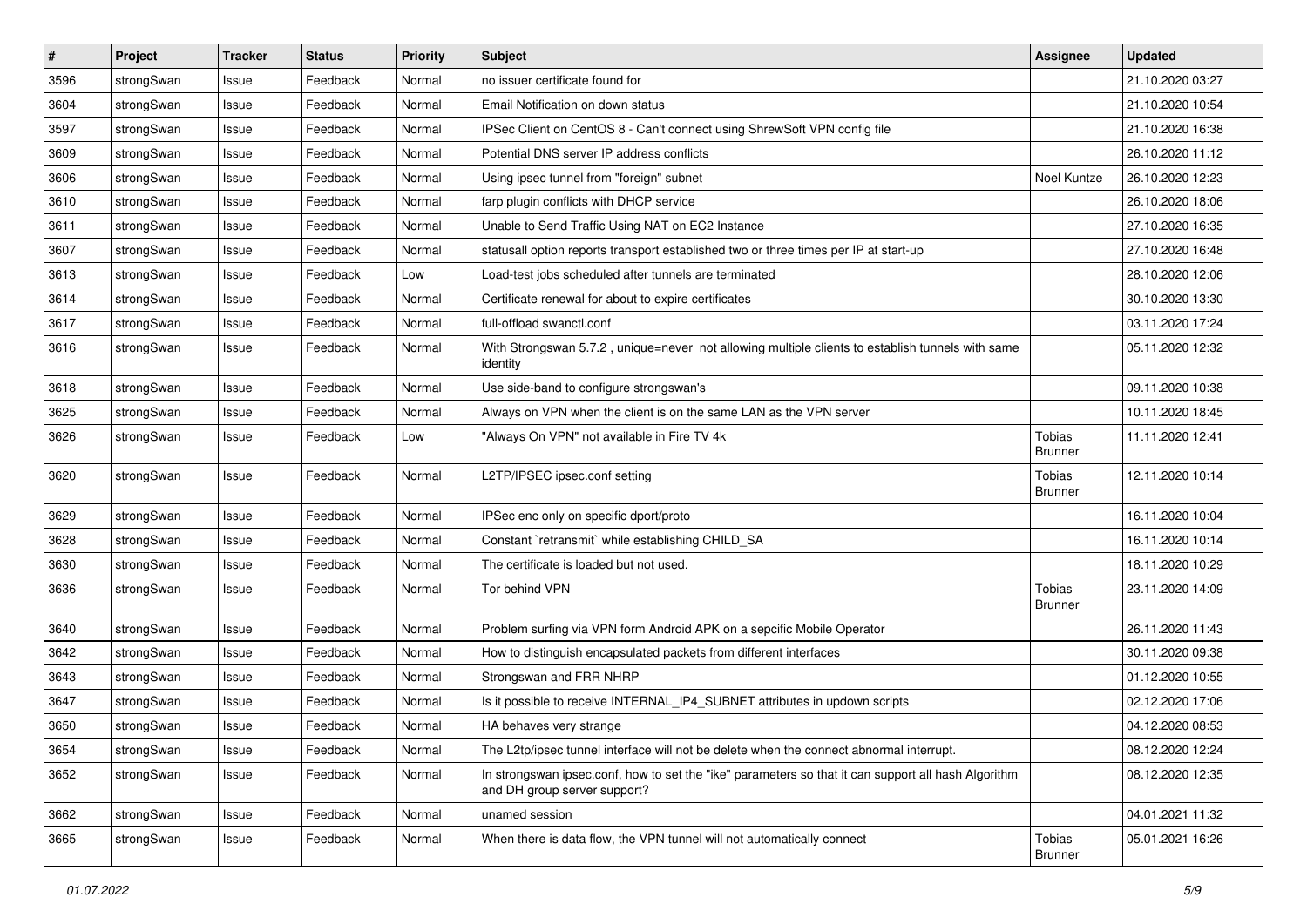| $\sharp$ | Project    | <b>Tracker</b> | <b>Status</b> | <b>Priority</b> | <b>Subject</b>                                                                                                                      | Assignee                        | <b>Updated</b>   |
|----------|------------|----------------|---------------|-----------------|-------------------------------------------------------------------------------------------------------------------------------------|---------------------------------|------------------|
| 3596     | strongSwan | Issue          | Feedback      | Normal          | no issuer certificate found for                                                                                                     |                                 | 21.10.2020 03:27 |
| 3604     | strongSwan | Issue          | Feedback      | Normal          | Email Notification on down status                                                                                                   |                                 | 21.10.2020 10:54 |
| 3597     | strongSwan | Issue          | Feedback      | Normal          | IPSec Client on CentOS 8 - Can't connect using ShrewSoft VPN config file                                                            |                                 | 21.10.2020 16:38 |
| 3609     | strongSwan | Issue          | Feedback      | Normal          | Potential DNS server IP address conflicts                                                                                           |                                 | 26.10.2020 11:12 |
| 3606     | strongSwan | Issue          | Feedback      | Normal          | Using ipsec tunnel from "foreign" subnet                                                                                            | Noel Kuntze                     | 26.10.2020 12:23 |
| 3610     | strongSwan | Issue          | Feedback      | Normal          | farp plugin conflicts with DHCP service                                                                                             |                                 | 26.10.2020 18:06 |
| 3611     | strongSwan | Issue          | Feedback      | Normal          | Unable to Send Traffic Using NAT on EC2 Instance                                                                                    |                                 | 27.10.2020 16:35 |
| 3607     | strongSwan | Issue          | Feedback      | Normal          | statusall option reports transport established two or three times per IP at start-up                                                |                                 | 27.10.2020 16:48 |
| 3613     | strongSwan | Issue          | Feedback      | Low             | Load-test jobs scheduled after tunnels are terminated                                                                               |                                 | 28.10.2020 12:06 |
| 3614     | strongSwan | Issue          | Feedback      | Normal          | Certificate renewal for about to expire certificates                                                                                |                                 | 30.10.2020 13:30 |
| 3617     | strongSwan | Issue          | Feedback      | Normal          | full-offload swanctl.conf                                                                                                           |                                 | 03.11.2020 17:24 |
| 3616     | strongSwan | Issue          | Feedback      | Normal          | With Strongswan 5.7.2, unique=never not allowing multiple clients to establish tunnels with same<br>identity                        |                                 | 05.11.2020 12:32 |
| 3618     | strongSwan | Issue          | Feedback      | Normal          | Use side-band to configure strongswan's                                                                                             |                                 | 09.11.2020 10:38 |
| 3625     | strongSwan | Issue          | Feedback      | Normal          | Always on VPN when the client is on the same LAN as the VPN server                                                                  |                                 | 10.11.2020 18:45 |
| 3626     | strongSwan | Issue          | Feedback      | Low             | "Always On VPN" not available in Fire TV 4k                                                                                         | Tobias<br><b>Brunner</b>        | 11.11.2020 12:41 |
| 3620     | strongSwan | Issue          | Feedback      | Normal          | L2TP/IPSEC ipsec.conf setting                                                                                                       | Tobias<br><b>Brunner</b>        | 12.11.2020 10:14 |
| 3629     | strongSwan | Issue          | Feedback      | Normal          | IPSec enc only on specific dport/proto                                                                                              |                                 | 16.11.2020 10:04 |
| 3628     | strongSwan | Issue          | Feedback      | Normal          | Constant `retransmit` while establishing CHILD_SA                                                                                   |                                 | 16.11.2020 10:14 |
| 3630     | strongSwan | Issue          | Feedback      | Normal          | The certificate is loaded but not used.                                                                                             |                                 | 18.11.2020 10:29 |
| 3636     | strongSwan | Issue          | Feedback      | Normal          | Tor behind VPN                                                                                                                      | Tobias<br>Brunner               | 23.11.2020 14:09 |
| 3640     | strongSwan | Issue          | Feedback      | Normal          | Problem surfing via VPN form Android APK on a sepcific Mobile Operator                                                              |                                 | 26.11.2020 11:43 |
| 3642     | strongSwan | Issue          | Feedback      | Normal          | How to distinguish encapsulated packets from different interfaces                                                                   |                                 | 30.11.2020 09:38 |
| 3643     | strongSwan | Issue          | Feedback      | Normal          | Strongswan and FRR NHRP                                                                                                             |                                 | 01.12.2020 10:55 |
| 3647     | strongSwan | Issue          | Feedback      | Normal          | Is it possible to receive INTERNAL_IP4_SUBNET attributes in updown scripts                                                          |                                 | 02.12.2020 17:06 |
| 3650     | strongSwan | Issue          | Feedback      | Normal          | HA behaves very strange                                                                                                             |                                 | 04.12.2020 08:53 |
| 3654     | strongSwan | Issue          | Feedback      | Normal          | The L2tp/ipsec tunnel interface will not be delete when the connect abnormal interrupt.                                             |                                 | 08.12.2020 12:24 |
| 3652     | strongSwan | Issue          | Feedback      | Normal          | In strongswan ipsec.conf, how to set the "ike" parameters so that it can support all hash Algorithm<br>and DH group server support? |                                 | 08.12.2020 12:35 |
| 3662     | strongSwan | Issue          | Feedback      | Normal          | unamed session                                                                                                                      |                                 | 04.01.2021 11:32 |
| 3665     | strongSwan | Issue          | Feedback      | Normal          | When there is data flow, the VPN tunnel will not automatically connect                                                              | <b>Tobias</b><br><b>Brunner</b> | 05.01.2021 16:26 |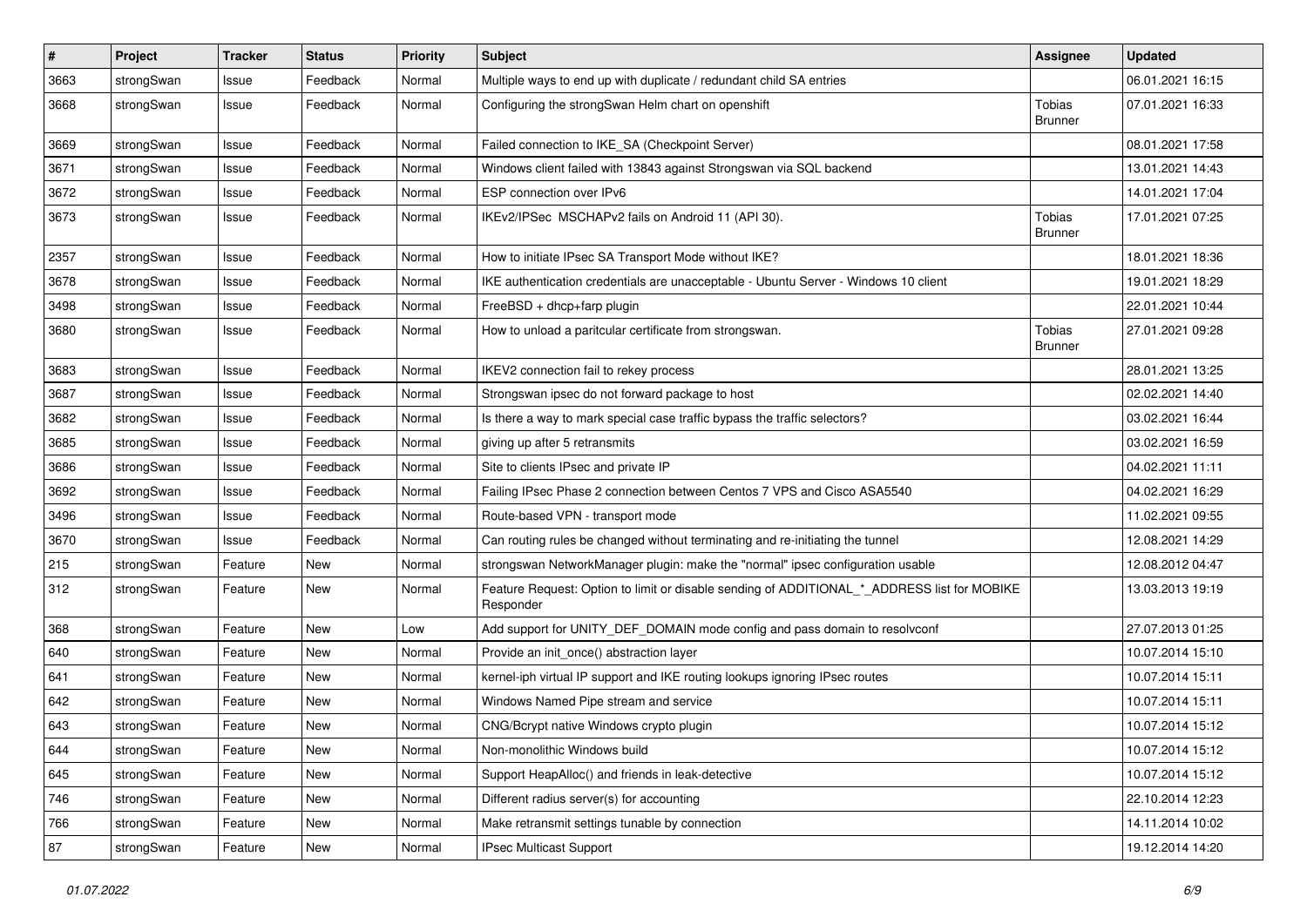| $\pmb{\#}$ | Project    | <b>Tracker</b> | <b>Status</b> | <b>Priority</b> | <b>Subject</b>                                                                                           | <b>Assignee</b>          | <b>Updated</b>   |
|------------|------------|----------------|---------------|-----------------|----------------------------------------------------------------------------------------------------------|--------------------------|------------------|
| 3663       | strongSwan | Issue          | Feedback      | Normal          | Multiple ways to end up with duplicate / redundant child SA entries                                      |                          | 06.01.2021 16:15 |
| 3668       | strongSwan | Issue          | Feedback      | Normal          | Configuring the strongSwan Helm chart on openshift                                                       | Tobias<br><b>Brunner</b> | 07.01.2021 16:33 |
| 3669       | strongSwan | Issue          | Feedback      | Normal          | Failed connection to IKE_SA (Checkpoint Server)                                                          |                          | 08.01.2021 17:58 |
| 3671       | strongSwan | Issue          | Feedback      | Normal          | Windows client failed with 13843 against Strongswan via SQL backend                                      |                          | 13.01.2021 14:43 |
| 3672       | strongSwan | Issue          | Feedback      | Normal          | ESP connection over IPv6                                                                                 |                          | 14.01.2021 17:04 |
| 3673       | strongSwan | Issue          | Feedback      | Normal          | IKEv2/IPSec MSCHAPv2 fails on Android 11 (API 30).                                                       | Tobias<br><b>Brunner</b> | 17.01.2021 07:25 |
| 2357       | strongSwan | Issue          | Feedback      | Normal          | How to initiate IPsec SA Transport Mode without IKE?                                                     |                          | 18.01.2021 18:36 |
| 3678       | strongSwan | Issue          | Feedback      | Normal          | IKE authentication credentials are unacceptable - Ubuntu Server - Windows 10 client                      |                          | 19.01.2021 18:29 |
| 3498       | strongSwan | Issue          | Feedback      | Normal          | FreeBSD + dhcp+farp plugin                                                                               |                          | 22.01.2021 10:44 |
| 3680       | strongSwan | Issue          | Feedback      | Normal          | How to unload a paritcular certificate from strongswan.                                                  | Tobias<br><b>Brunner</b> | 27.01.2021 09:28 |
| 3683       | strongSwan | Issue          | Feedback      | Normal          | IKEV2 connection fail to rekey process                                                                   |                          | 28.01.2021 13:25 |
| 3687       | strongSwan | Issue          | Feedback      | Normal          | Strongswan ipsec do not forward package to host                                                          |                          | 02.02.2021 14:40 |
| 3682       | strongSwan | Issue          | Feedback      | Normal          | Is there a way to mark special case traffic bypass the traffic selectors?                                |                          | 03.02.2021 16:44 |
| 3685       | strongSwan | Issue          | Feedback      | Normal          | giving up after 5 retransmits                                                                            |                          | 03.02.2021 16:59 |
| 3686       | strongSwan | Issue          | Feedback      | Normal          | Site to clients IPsec and private IP                                                                     |                          | 04.02.2021 11:11 |
| 3692       | strongSwan | Issue          | Feedback      | Normal          | Failing IPsec Phase 2 connection between Centos 7 VPS and Cisco ASA5540                                  |                          | 04.02.2021 16:29 |
| 3496       | strongSwan | Issue          | Feedback      | Normal          | Route-based VPN - transport mode                                                                         |                          | 11.02.2021 09:55 |
| 3670       | strongSwan | Issue          | Feedback      | Normal          | Can routing rules be changed without terminating and re-initiating the tunnel                            |                          | 12.08.2021 14:29 |
| 215        | strongSwan | Feature        | New           | Normal          | strongswan NetworkManager plugin: make the "normal" ipsec configuration usable                           |                          | 12.08.2012 04:47 |
| 312        | strongSwan | Feature        | New           | Normal          | Feature Request: Option to limit or disable sending of ADDITIONAL_*_ADDRESS list for MOBIKE<br>Responder |                          | 13.03.2013 19:19 |
| 368        | strongSwan | Feature        | New           | Low             | Add support for UNITY_DEF_DOMAIN mode config and pass domain to resolvconf                               |                          | 27.07.2013 01:25 |
| 640        | strongSwan | Feature        | New           | Normal          | Provide an init_once() abstraction layer                                                                 |                          | 10.07.2014 15:10 |
| 641        | strongSwan | Feature        | New           | Normal          | kernel-iph virtual IP support and IKE routing lookups ignoring IPsec routes                              |                          | 10.07.2014 15:11 |
| 642        | strongSwan | Feature        | New           | Normal          | Windows Named Pipe stream and service                                                                    |                          | 10.07.2014 15:11 |
| 643        | strongSwan | Feature        | New           | Normal          | CNG/Bcrypt native Windows crypto plugin                                                                  |                          | 10.07.2014 15:12 |
| 644        | strongSwan | Feature        | New           | Normal          | Non-monolithic Windows build                                                                             |                          | 10.07.2014 15:12 |
| 645        | strongSwan | Feature        | <b>New</b>    | Normal          | Support HeapAlloc() and friends in leak-detective                                                        |                          | 10.07.2014 15:12 |
| 746        | strongSwan | Feature        | New           | Normal          | Different radius server(s) for accounting                                                                |                          | 22.10.2014 12:23 |
| 766        | strongSwan | Feature        | New           | Normal          | Make retransmit settings tunable by connection                                                           |                          | 14.11.2014 10:02 |
| 87         | strongSwan | Feature        | New           | Normal          | IPsec Multicast Support                                                                                  |                          | 19.12.2014 14:20 |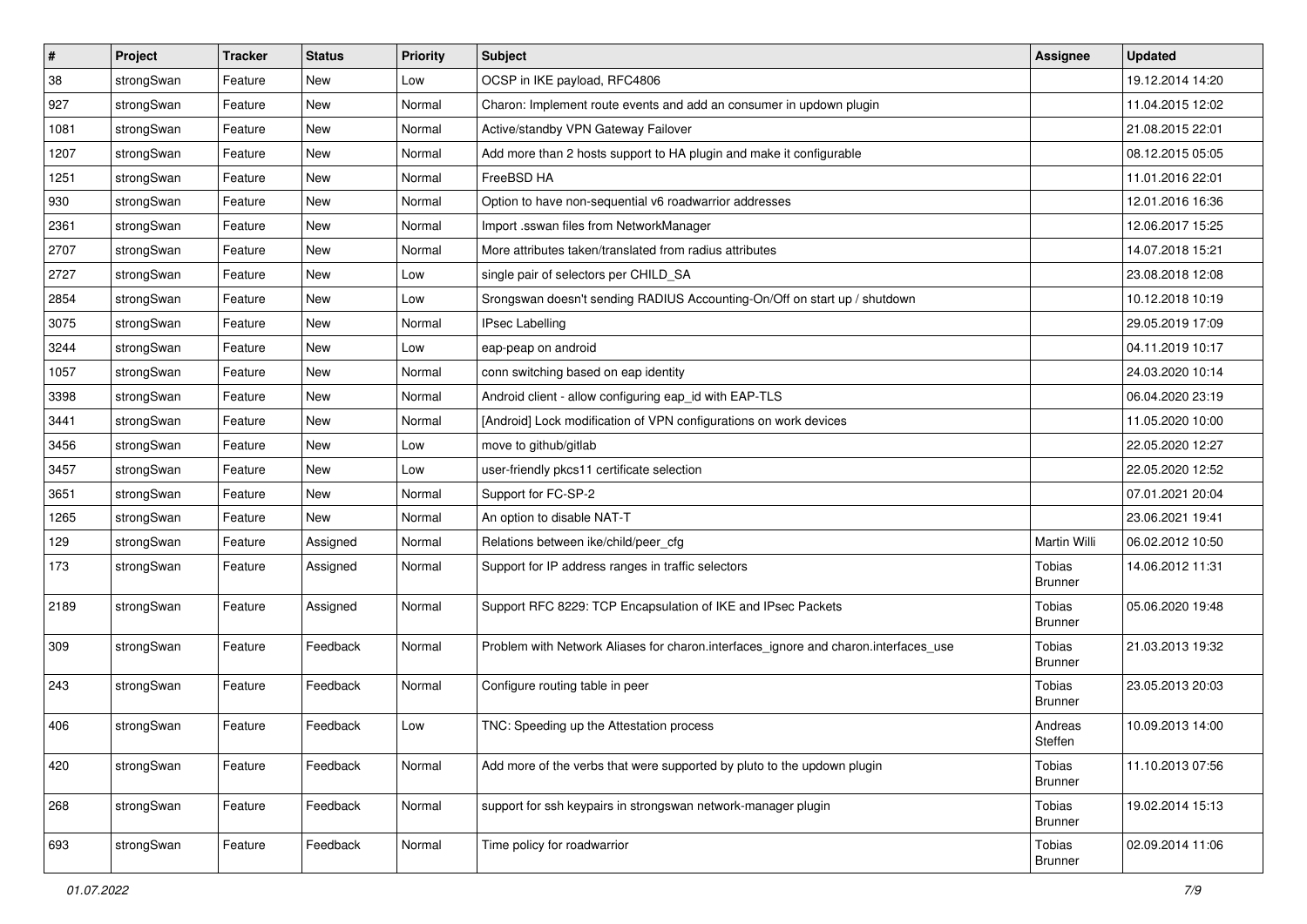| $\sharp$ | Project    | <b>Tracker</b> | <b>Status</b> | <b>Priority</b> | <b>Subject</b>                                                                      | Assignee                 | <b>Updated</b>   |
|----------|------------|----------------|---------------|-----------------|-------------------------------------------------------------------------------------|--------------------------|------------------|
| 38       | strongSwan | Feature        | New           | Low             | OCSP in IKE payload, RFC4806                                                        |                          | 19.12.2014 14:20 |
| 927      | strongSwan | Feature        | <b>New</b>    | Normal          | Charon: Implement route events and add an consumer in updown plugin                 |                          | 11.04.2015 12:02 |
| 1081     | strongSwan | Feature        | New           | Normal          | Active/standby VPN Gateway Failover                                                 |                          | 21.08.2015 22:01 |
| 1207     | strongSwan | Feature        | New           | Normal          | Add more than 2 hosts support to HA plugin and make it configurable                 |                          | 08.12.2015 05:05 |
| 1251     | strongSwan | Feature        | <b>New</b>    | Normal          | FreeBSD HA                                                                          |                          | 11.01.2016 22:01 |
| 930      | strongSwan | Feature        | New           | Normal          | Option to have non-sequential v6 roadwarrior addresses                              |                          | 12.01.2016 16:36 |
| 2361     | strongSwan | Feature        | New           | Normal          | Import .sswan files from NetworkManager                                             |                          | 12.06.2017 15:25 |
| 2707     | strongSwan | Feature        | <b>New</b>    | Normal          | More attributes taken/translated from radius attributes                             |                          | 14.07.2018 15:21 |
| 2727     | strongSwan | Feature        | New           | Low             | single pair of selectors per CHILD_SA                                               |                          | 23.08.2018 12:08 |
| 2854     | strongSwan | Feature        | New           | Low             | Srongswan doesn't sending RADIUS Accounting-On/Off on start up / shutdown           |                          | 10.12.2018 10:19 |
| 3075     | strongSwan | Feature        | New           | Normal          | <b>IPsec Labelling</b>                                                              |                          | 29.05.2019 17:09 |
| 3244     | strongSwan | Feature        | New           | Low             | eap-peap on android                                                                 |                          | 04.11.2019 10:17 |
| 1057     | strongSwan | Feature        | <b>New</b>    | Normal          | conn switching based on eap identity                                                |                          | 24.03.2020 10:14 |
| 3398     | strongSwan | Feature        | New           | Normal          | Android client - allow configuring eap_id with EAP-TLS                              |                          | 06.04.2020 23:19 |
| 3441     | strongSwan | Feature        | <b>New</b>    | Normal          | [Android] Lock modification of VPN configurations on work devices                   |                          | 11.05.2020 10:00 |
| 3456     | strongSwan | Feature        | New           | Low             | move to github/gitlab                                                               |                          | 22.05.2020 12:27 |
| 3457     | strongSwan | Feature        | New           | Low             | user-friendly pkcs11 certificate selection                                          |                          | 22.05.2020 12:52 |
| 3651     | strongSwan | Feature        | <b>New</b>    | Normal          | Support for FC-SP-2                                                                 |                          | 07.01.2021 20:04 |
| 1265     | strongSwan | Feature        | New           | Normal          | An option to disable NAT-T                                                          |                          | 23.06.2021 19:41 |
| 129      | strongSwan | Feature        | Assigned      | Normal          | Relations between ike/child/peer_cfg                                                | Martin Willi             | 06.02.2012 10:50 |
| 173      | strongSwan | Feature        | Assigned      | Normal          | Support for IP address ranges in traffic selectors                                  | Tobias<br><b>Brunner</b> | 14.06.2012 11:31 |
| 2189     | strongSwan | Feature        | Assigned      | Normal          | Support RFC 8229: TCP Encapsulation of IKE and IPsec Packets                        | Tobias<br><b>Brunner</b> | 05.06.2020 19:48 |
| 309      | strongSwan | Feature        | Feedback      | Normal          | Problem with Network Aliases for charon.interfaces_ignore and charon.interfaces_use | Tobias<br><b>Brunner</b> | 21.03.2013 19:32 |
| 243      | strongSwan | Feature        | Feedback      | Normal          | Configure routing table in peer                                                     | Tobias<br><b>Brunner</b> | 23.05.2013 20:03 |
| 406      | strongSwan | Feature        | Feedback      | Low             | TNC: Speeding up the Attestation process                                            | Andreas<br>Steffen       | 10.09.2013 14:00 |
| 420      | strongSwan | Feature        | Feedback      | Normal          | Add more of the verbs that were supported by pluto to the updown plugin             | Tobias<br><b>Brunner</b> | 11.10.2013 07:56 |
| 268      | strongSwan | Feature        | Feedback      | Normal          | support for ssh keypairs in strongswan network-manager plugin                       | Tobias<br><b>Brunner</b> | 19.02.2014 15:13 |
| 693      | strongSwan | Feature        | Feedback      | Normal          | Time policy for roadwarrior                                                         | Tobias<br><b>Brunner</b> | 02.09.2014 11:06 |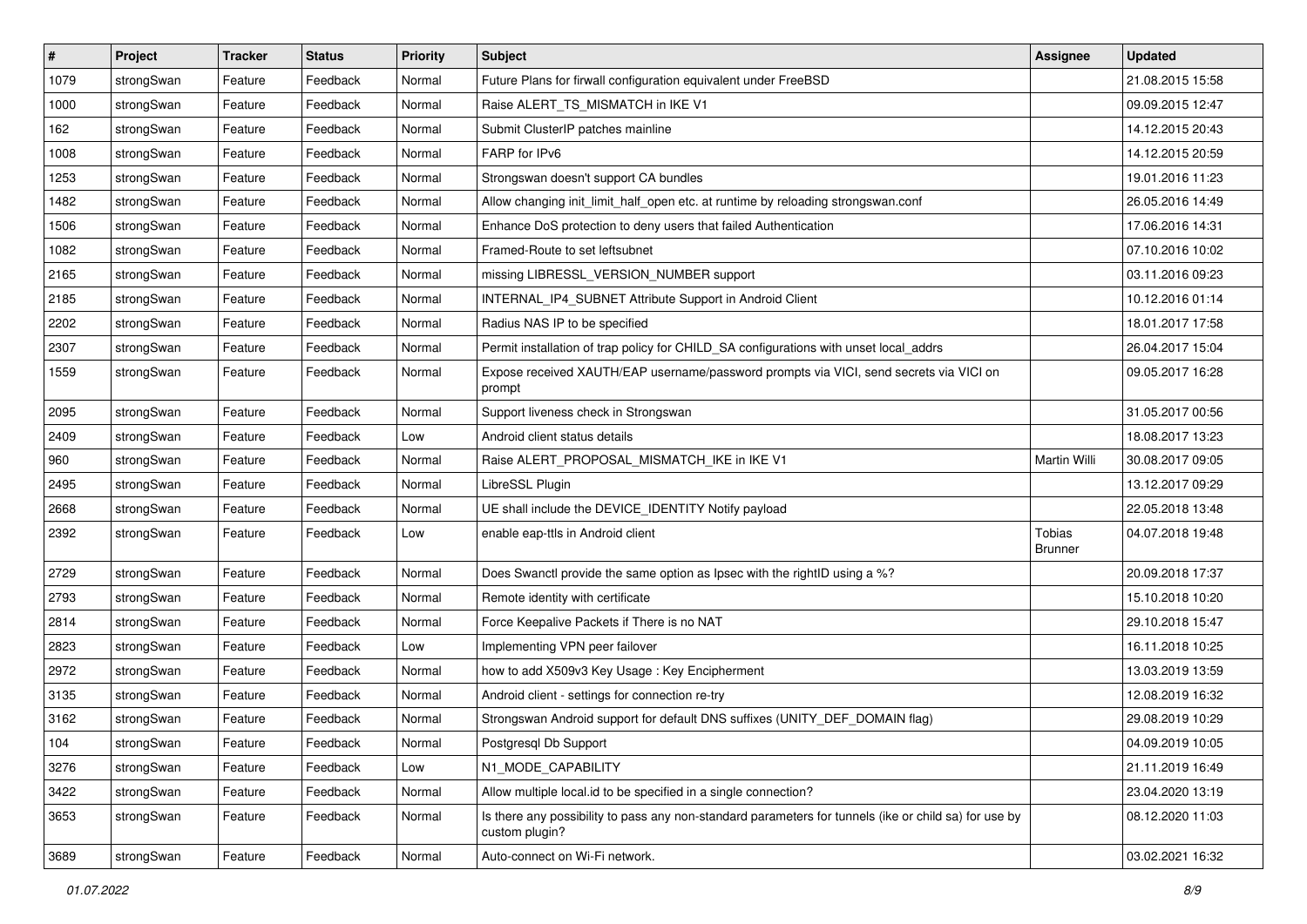| $\pmb{\#}$ | Project    | <b>Tracker</b> | <b>Status</b> | <b>Priority</b> | <b>Subject</b>                                                                                                          | <b>Assignee</b>   | <b>Updated</b>   |
|------------|------------|----------------|---------------|-----------------|-------------------------------------------------------------------------------------------------------------------------|-------------------|------------------|
| 1079       | strongSwan | Feature        | Feedback      | Normal          | Future Plans for firwall configuration equivalent under FreeBSD                                                         |                   | 21.08.2015 15:58 |
| 1000       | strongSwan | Feature        | Feedback      | Normal          | Raise ALERT_TS_MISMATCH in IKE V1                                                                                       |                   | 09.09.2015 12:47 |
| 162        | strongSwan | Feature        | Feedback      | Normal          | Submit ClusterIP patches mainline                                                                                       |                   | 14.12.2015 20:43 |
| 1008       | strongSwan | Feature        | Feedback      | Normal          | FARP for IPv6                                                                                                           |                   | 14.12.2015 20:59 |
| 1253       | strongSwan | Feature        | Feedback      | Normal          | Strongswan doesn't support CA bundles                                                                                   |                   | 19.01.2016 11:23 |
| 1482       | strongSwan | Feature        | Feedback      | Normal          | Allow changing init_limit_half_open etc. at runtime by reloading strongswan.conf                                        |                   | 26.05.2016 14:49 |
| 1506       | strongSwan | Feature        | Feedback      | Normal          | Enhance DoS protection to deny users that failed Authentication                                                         |                   | 17.06.2016 14:31 |
| 1082       | strongSwan | Feature        | Feedback      | Normal          | Framed-Route to set leftsubnet                                                                                          |                   | 07.10.2016 10:02 |
| 2165       | strongSwan | Feature        | Feedback      | Normal          | missing LIBRESSL_VERSION_NUMBER support                                                                                 |                   | 03.11.2016 09:23 |
| 2185       | strongSwan | Feature        | Feedback      | Normal          | INTERNAL_IP4_SUBNET Attribute Support in Android Client                                                                 |                   | 10.12.2016 01:14 |
| 2202       | strongSwan | Feature        | Feedback      | Normal          | Radius NAS IP to be specified                                                                                           |                   | 18.01.2017 17:58 |
| 2307       | strongSwan | Feature        | Feedback      | Normal          | Permit installation of trap policy for CHILD_SA configurations with unset local_addrs                                   |                   | 26.04.2017 15:04 |
| 1559       | strongSwan | Feature        | Feedback      | Normal          | Expose received XAUTH/EAP username/password prompts via VICI, send secrets via VICI on<br>prompt                        |                   | 09.05.2017 16:28 |
| 2095       | strongSwan | Feature        | Feedback      | Normal          | Support liveness check in Strongswan                                                                                    |                   | 31.05.2017 00:56 |
| 2409       | strongSwan | Feature        | Feedback      | Low             | Android client status details                                                                                           |                   | 18.08.2017 13:23 |
| 960        | strongSwan | Feature        | Feedback      | Normal          | Raise ALERT_PROPOSAL_MISMATCH_IKE in IKE V1                                                                             | Martin Willi      | 30.08.2017 09:05 |
| 2495       | strongSwan | Feature        | Feedback      | Normal          | LibreSSL Plugin                                                                                                         |                   | 13.12.2017 09:29 |
| 2668       | strongSwan | Feature        | Feedback      | Normal          | UE shall include the DEVICE_IDENTITY Notify payload                                                                     |                   | 22.05.2018 13:48 |
| 2392       | strongSwan | Feature        | Feedback      | Low             | enable eap-ttls in Android client                                                                                       | Tobias<br>Brunner | 04.07.2018 19:48 |
| 2729       | strongSwan | Feature        | Feedback      | Normal          | Does Swanctl provide the same option as Ipsec with the rightID using a %?                                               |                   | 20.09.2018 17:37 |
| 2793       | strongSwan | Feature        | Feedback      | Normal          | Remote identity with certificate                                                                                        |                   | 15.10.2018 10:20 |
| 2814       | strongSwan | Feature        | Feedback      | Normal          | Force Keepalive Packets if There is no NAT                                                                              |                   | 29.10.2018 15:47 |
| 2823       | strongSwan | Feature        | Feedback      | Low             | Implementing VPN peer failover                                                                                          |                   | 16.11.2018 10:25 |
| 2972       | strongSwan | Feature        | Feedback      | Normal          | how to add X509v3 Key Usage: Key Encipherment                                                                           |                   | 13.03.2019 13:59 |
| 3135       | strongSwan | Feature        | Feedback      | Normal          | Android client - settings for connection re-try                                                                         |                   | 12.08.2019 16:32 |
| 3162       | strongSwan | Feature        | Feedback      | Normal          | Strongswan Android support for default DNS suffixes (UNITY_DEF_DOMAIN flag)                                             |                   | 29.08.2019 10:29 |
| 104        | strongSwan | Feature        | Feedback      | Normal          | Postgresql Db Support                                                                                                   |                   | 04.09.2019 10:05 |
| 3276       | strongSwan | Feature        | Feedback      | Low             | N1 MODE CAPABILITY                                                                                                      |                   | 21.11.2019 16:49 |
| 3422       | strongSwan | Feature        | Feedback      | Normal          | Allow multiple local.id to be specified in a single connection?                                                         |                   | 23.04.2020 13:19 |
| 3653       | strongSwan | Feature        | Feedback      | Normal          | Is there any possibility to pass any non-standard parameters for tunnels (ike or child sa) for use by<br>custom plugin? |                   | 08.12.2020 11:03 |
| 3689       | strongSwan | Feature        | Feedback      | Normal          | Auto-connect on Wi-Fi network.                                                                                          |                   | 03.02.2021 16:32 |